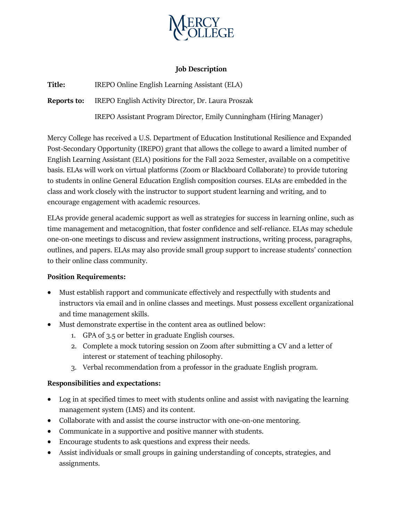

### **Job Description**

**Title:** IREPO Online English Learning Assistant (ELA)

**Reports to:** IREPO English Activity Director, Dr. Laura Proszak

IREPO Assistant Program Director, Emily Cunningham (Hiring Manager)

Mercy College has received a U.S. Department of Education Institutional Resilience and Expanded Post-Secondary Opportunity (IREPO) grant that allows the college to award a limited number of English Learning Assistant (ELA) positions for the Fall 2022 Semester, available on a competitive basis. ELAs will work on virtual platforms (Zoom or Blackboard Collaborate) to provide tutoring to students in online General Education English composition courses. ELAs are embedded in the class and work closely with the instructor to support student learning and writing, and to encourage engagement with academic resources.

ELAs provide general academic support as well as strategies for success in learning online, such as time management and metacognition, that foster confidence and self-reliance. ELAs may schedule one-on-one meetings to discuss and review assignment instructions, writing process, paragraphs, outlines, and papers. ELAs may also provide small group support to increase students' connection to their online class community.

# **Position Requirements:**

- Must establish rapport and communicate effectively and respectfully with students and instructors via email and in online classes and meetings. Must possess excellent organizational and time management skills.
- Must demonstrate expertise in the content area as outlined below:
	- 1. GPA of 3.5 or better in graduate English courses.
	- 2. Complete a mock tutoring session on Zoom after submitting a CV and a letter of interest or statement of teaching philosophy.
	- 3. Verbal recommendation from a professor in the graduate English program.

# **Responsibilities and expectations:**

- Log in at specified times to meet with students online and assist with navigating the learning management system (LMS) and its content.
- Collaborate with and assist the course instructor with one-on-one mentoring.
- Communicate in a supportive and positive manner with students.
- Encourage students to ask questions and express their needs.
- Assist individuals or small groups in gaining understanding of concepts, strategies, and assignments.